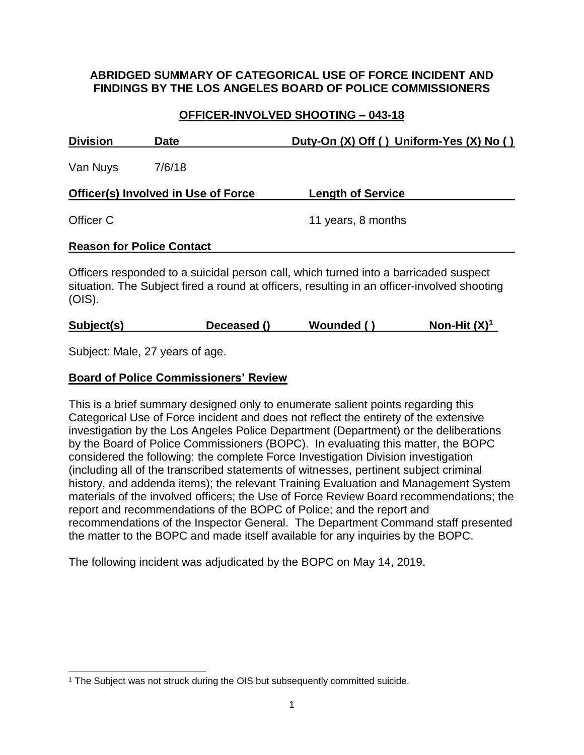# **ABRIDGED SUMMARY OF CATEGORICAL USE OF FORCE INCIDENT AND FINDINGS BY THE LOS ANGELES BOARD OF POLICE COMMISSIONERS**

# **OFFICER-INVOLVED SHOOTING – 043-18**

| <b>Division</b>                            | Date   | Duty-On (X) Off () Uniform-Yes (X) No ()                                                                                                                                            |  |
|--------------------------------------------|--------|-------------------------------------------------------------------------------------------------------------------------------------------------------------------------------------|--|
| Van Nuys                                   | 7/6/18 |                                                                                                                                                                                     |  |
| <b>Officer(s) Involved in Use of Force</b> |        | <b>Length of Service</b>                                                                                                                                                            |  |
| Officer C                                  |        | 11 years, 8 months                                                                                                                                                                  |  |
| <b>Reason for Police Contact</b>           |        |                                                                                                                                                                                     |  |
| $(OIS)$ .                                  |        | Officers responded to a suicidal person call, which turned into a barricaded suspect<br>situation. The Subject fired a round at officers, resulting in an officer-involved shooting |  |

| Subject(s) | Deceased () | Wounded () | Non-Hit $(X)^1$ |
|------------|-------------|------------|-----------------|
|------------|-------------|------------|-----------------|

Subject: Male, 27 years of age.

# **Board of Police Commissioners' Review**

This is a brief summary designed only to enumerate salient points regarding this Categorical Use of Force incident and does not reflect the entirety of the extensive investigation by the Los Angeles Police Department (Department) or the deliberations by the Board of Police Commissioners (BOPC). In evaluating this matter, the BOPC considered the following: the complete Force Investigation Division investigation (including all of the transcribed statements of witnesses, pertinent subject criminal history, and addenda items); the relevant Training Evaluation and Management System materials of the involved officers; the Use of Force Review Board recommendations; the report and recommendations of the BOPC of Police; and the report and recommendations of the Inspector General. The Department Command staff presented the matter to the BOPC and made itself available for any inquiries by the BOPC.

The following incident was adjudicated by the BOPC on May 14, 2019.

l <sup>1</sup> The Subject was not struck during the OIS but subsequently committed suicide.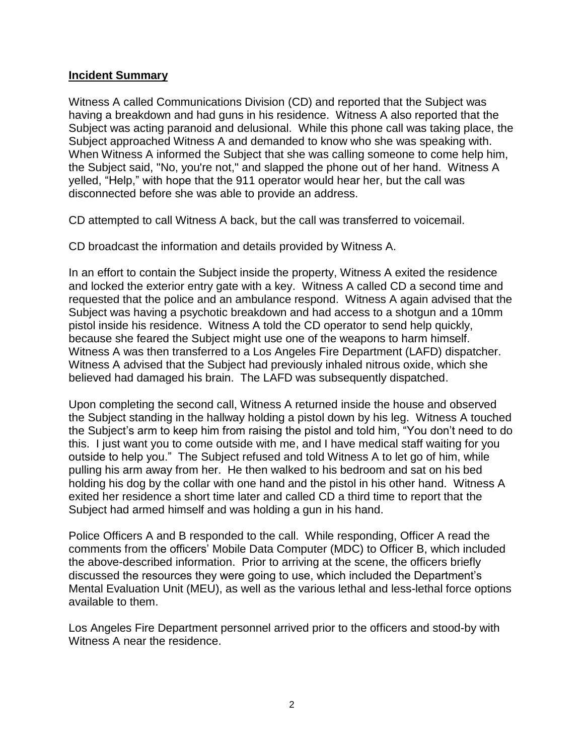#### **Incident Summary**

Witness A called Communications Division (CD) and reported that the Subject was having a breakdown and had guns in his residence. Witness A also reported that the Subject was acting paranoid and delusional. While this phone call was taking place, the Subject approached Witness A and demanded to know who she was speaking with. When Witness A informed the Subject that she was calling someone to come help him, the Subject said, "No, you're not," and slapped the phone out of her hand. Witness A yelled, "Help," with hope that the 911 operator would hear her, but the call was disconnected before she was able to provide an address.

CD attempted to call Witness A back, but the call was transferred to voicemail.

CD broadcast the information and details provided by Witness A.

In an effort to contain the Subject inside the property, Witness A exited the residence and locked the exterior entry gate with a key. Witness A called CD a second time and requested that the police and an ambulance respond. Witness A again advised that the Subject was having a psychotic breakdown and had access to a shotgun and a 10mm pistol inside his residence. Witness A told the CD operator to send help quickly, because she feared the Subject might use one of the weapons to harm himself. Witness A was then transferred to a Los Angeles Fire Department (LAFD) dispatcher. Witness A advised that the Subject had previously inhaled nitrous oxide, which she believed had damaged his brain. The LAFD was subsequently dispatched.

Upon completing the second call, Witness A returned inside the house and observed the Subject standing in the hallway holding a pistol down by his leg. Witness A touched the Subject's arm to keep him from raising the pistol and told him, "You don't need to do this. I just want you to come outside with me, and I have medical staff waiting for you outside to help you." The Subject refused and told Witness A to let go of him, while pulling his arm away from her. He then walked to his bedroom and sat on his bed holding his dog by the collar with one hand and the pistol in his other hand. Witness A exited her residence a short time later and called CD a third time to report that the Subject had armed himself and was holding a gun in his hand.

Police Officers A and B responded to the call. While responding, Officer A read the comments from the officers' Mobile Data Computer (MDC) to Officer B, which included the above-described information. Prior to arriving at the scene, the officers briefly discussed the resources they were going to use, which included the Department's Mental Evaluation Unit (MEU), as well as the various lethal and less-lethal force options available to them.

Los Angeles Fire Department personnel arrived prior to the officers and stood-by with Witness A near the residence.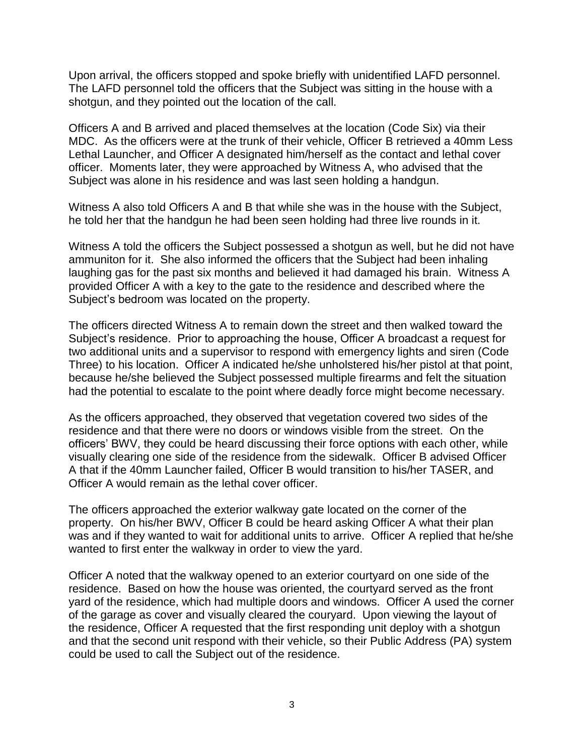Upon arrival, the officers stopped and spoke briefly with unidentified LAFD personnel. The LAFD personnel told the officers that the Subject was sitting in the house with a shotgun, and they pointed out the location of the call.

Officers A and B arrived and placed themselves at the location (Code Six) via their MDC. As the officers were at the trunk of their vehicle, Officer B retrieved a 40mm Less Lethal Launcher, and Officer A designated him/herself as the contact and lethal cover officer. Moments later, they were approached by Witness A, who advised that the Subject was alone in his residence and was last seen holding a handgun.

Witness A also told Officers A and B that while she was in the house with the Subject, he told her that the handgun he had been seen holding had three live rounds in it.

Witness A told the officers the Subject possessed a shotgun as well, but he did not have ammuniton for it. She also informed the officers that the Subject had been inhaling laughing gas for the past six months and believed it had damaged his brain. Witness A provided Officer A with a key to the gate to the residence and described where the Subject's bedroom was located on the property.

The officers directed Witness A to remain down the street and then walked toward the Subject's residence. Prior to approaching the house, Officer A broadcast a request for two additional units and a supervisor to respond with emergency lights and siren (Code Three) to his location. Officer A indicated he/she unholstered his/her pistol at that point, because he/she believed the Subject possessed multiple firearms and felt the situation had the potential to escalate to the point where deadly force might become necessary.

As the officers approached, they observed that vegetation covered two sides of the residence and that there were no doors or windows visible from the street. On the officers' BWV, they could be heard discussing their force options with each other, while visually clearing one side of the residence from the sidewalk. Officer B advised Officer A that if the 40mm Launcher failed, Officer B would transition to his/her TASER, and Officer A would remain as the lethal cover officer.

The officers approached the exterior walkway gate located on the corner of the property. On his/her BWV, Officer B could be heard asking Officer A what their plan was and if they wanted to wait for additional units to arrive. Officer A replied that he/she wanted to first enter the walkway in order to view the yard.

Officer A noted that the walkway opened to an exterior courtyard on one side of the residence. Based on how the house was oriented, the courtyard served as the front yard of the residence, which had multiple doors and windows. Officer A used the corner of the garage as cover and visually cleared the couryard. Upon viewing the layout of the residence, Officer A requested that the first responding unit deploy with a shotgun and that the second unit respond with their vehicle, so their Public Address (PA) system could be used to call the Subject out of the residence.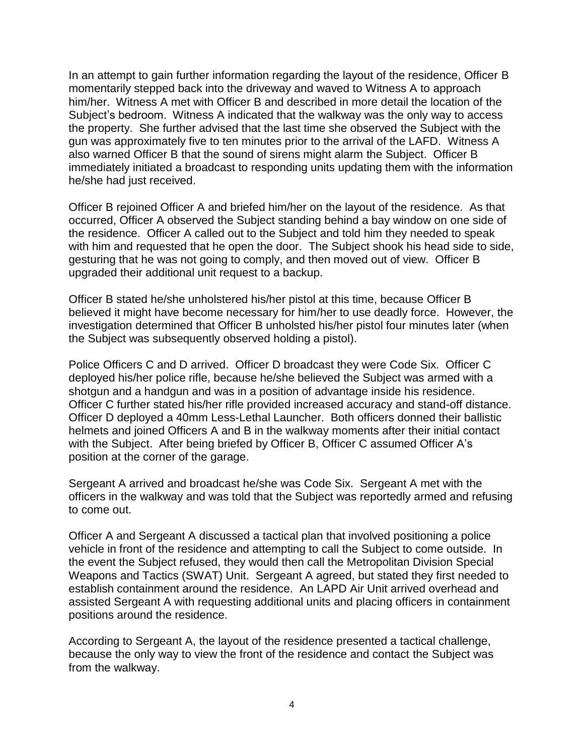In an attempt to gain further information regarding the layout of the residence, Officer B momentarily stepped back into the driveway and waved to Witness A to approach him/her. Witness A met with Officer B and described in more detail the location of the Subject's bedroom. Witness A indicated that the walkway was the only way to access the property. She further advised that the last time she observed the Subject with the gun was approximately five to ten minutes prior to the arrival of the LAFD. Witness A also warned Officer B that the sound of sirens might alarm the Subject. Officer B immediately initiated a broadcast to responding units updating them with the information he/she had just received.

Officer B rejoined Officer A and briefed him/her on the layout of the residence. As that occurred, Officer A observed the Subject standing behind a bay window on one side of the residence. Officer A called out to the Subject and told him they needed to speak with him and requested that he open the door. The Subject shook his head side to side, gesturing that he was not going to comply, and then moved out of view. Officer B upgraded their additional unit request to a backup.

Officer B stated he/she unholstered his/her pistol at this time, because Officer B believed it might have become necessary for him/her to use deadly force. However, the investigation determined that Officer B unholsted his/her pistol four minutes later (when the Subject was subsequently observed holding a pistol).

Police Officers C and D arrived. Officer D broadcast they were Code Six. Officer C deployed his/her police rifle, because he/she believed the Subject was armed with a shotgun and a handgun and was in a position of advantage inside his residence. Officer C further stated his/her rifle provided increased accuracy and stand-off distance. Officer D deployed a 40mm Less-Lethal Launcher. Both officers donned their ballistic helmets and joined Officers A and B in the walkway moments after their initial contact with the Subject. After being briefed by Officer B, Officer C assumed Officer A's position at the corner of the garage.

Sergeant A arrived and broadcast he/she was Code Six. Sergeant A met with the officers in the walkway and was told that the Subject was reportedly armed and refusing to come out.

Officer A and Sergeant A discussed a tactical plan that involved positioning a police vehicle in front of the residence and attempting to call the Subject to come outside. In the event the Subject refused, they would then call the Metropolitan Division Special Weapons and Tactics (SWAT) Unit. Sergeant A agreed, but stated they first needed to establish containment around the residence. An LAPD Air Unit arrived overhead and assisted Sergeant A with requesting additional units and placing officers in containment positions around the residence.

According to Sergeant A, the layout of the residence presented a tactical challenge, because the only way to view the front of the residence and contact the Subject was from the walkway.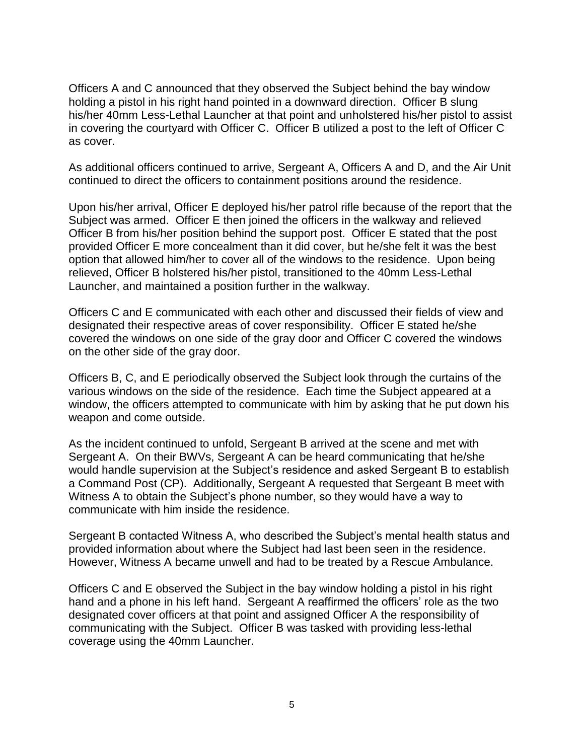Officers A and C announced that they observed the Subject behind the bay window holding a pistol in his right hand pointed in a downward direction. Officer B slung his/her 40mm Less-Lethal Launcher at that point and unholstered his/her pistol to assist in covering the courtyard with Officer C. Officer B utilized a post to the left of Officer C as cover.

As additional officers continued to arrive, Sergeant A, Officers A and D, and the Air Unit continued to direct the officers to containment positions around the residence.

Upon his/her arrival, Officer E deployed his/her patrol rifle because of the report that the Subject was armed. Officer E then joined the officers in the walkway and relieved Officer B from his/her position behind the support post. Officer E stated that the post provided Officer E more concealment than it did cover, but he/she felt it was the best option that allowed him/her to cover all of the windows to the residence. Upon being relieved, Officer B holstered his/her pistol, transitioned to the 40mm Less-Lethal Launcher, and maintained a position further in the walkway.

Officers C and E communicated with each other and discussed their fields of view and designated their respective areas of cover responsibility. Officer E stated he/she covered the windows on one side of the gray door and Officer C covered the windows on the other side of the gray door.

Officers B, C, and E periodically observed the Subject look through the curtains of the various windows on the side of the residence. Each time the Subject appeared at a window, the officers attempted to communicate with him by asking that he put down his weapon and come outside.

As the incident continued to unfold, Sergeant B arrived at the scene and met with Sergeant A. On their BWVs, Sergeant A can be heard communicating that he/she would handle supervision at the Subject's residence and asked Sergeant B to establish a Command Post (CP). Additionally, Sergeant A requested that Sergeant B meet with Witness A to obtain the Subject's phone number, so they would have a way to communicate with him inside the residence.

Sergeant B contacted Witness A, who described the Subject's mental health status and provided information about where the Subject had last been seen in the residence. However, Witness A became unwell and had to be treated by a Rescue Ambulance.

Officers C and E observed the Subject in the bay window holding a pistol in his right hand and a phone in his left hand. Sergeant A reaffirmed the officers' role as the two designated cover officers at that point and assigned Officer A the responsibility of communicating with the Subject. Officer B was tasked with providing less-lethal coverage using the 40mm Launcher.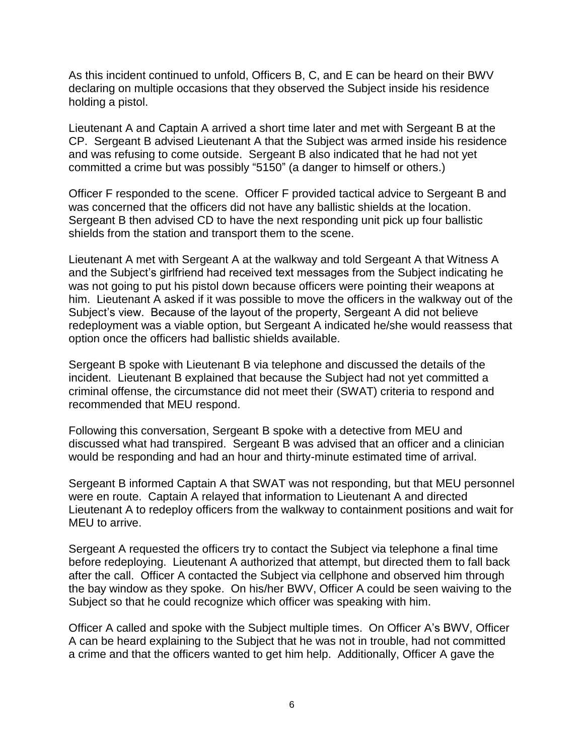As this incident continued to unfold, Officers B, C, and E can be heard on their BWV declaring on multiple occasions that they observed the Subject inside his residence holding a pistol.

Lieutenant A and Captain A arrived a short time later and met with Sergeant B at the CP. Sergeant B advised Lieutenant A that the Subject was armed inside his residence and was refusing to come outside. Sergeant B also indicated that he had not yet committed a crime but was possibly "5150" (a danger to himself or others.)

Officer F responded to the scene. Officer F provided tactical advice to Sergeant B and was concerned that the officers did not have any ballistic shields at the location. Sergeant B then advised CD to have the next responding unit pick up four ballistic shields from the station and transport them to the scene.

Lieutenant A met with Sergeant A at the walkway and told Sergeant A that Witness A and the Subject's girlfriend had received text messages from the Subject indicating he was not going to put his pistol down because officers were pointing their weapons at him. Lieutenant A asked if it was possible to move the officers in the walkway out of the Subject's view. Because of the layout of the property, Sergeant A did not believe redeployment was a viable option, but Sergeant A indicated he/she would reassess that option once the officers had ballistic shields available.

Sergeant B spoke with Lieutenant B via telephone and discussed the details of the incident. Lieutenant B explained that because the Subject had not yet committed a criminal offense, the circumstance did not meet their (SWAT) criteria to respond and recommended that MEU respond.

Following this conversation, Sergeant B spoke with a detective from MEU and discussed what had transpired. Sergeant B was advised that an officer and a clinician would be responding and had an hour and thirty-minute estimated time of arrival.

Sergeant B informed Captain A that SWAT was not responding, but that MEU personnel were en route. Captain A relayed that information to Lieutenant A and directed Lieutenant A to redeploy officers from the walkway to containment positions and wait for MEU to arrive.

Sergeant A requested the officers try to contact the Subject via telephone a final time before redeploying. Lieutenant A authorized that attempt, but directed them to fall back after the call. Officer A contacted the Subject via cellphone and observed him through the bay window as they spoke. On his/her BWV, Officer A could be seen waiving to the Subject so that he could recognize which officer was speaking with him.

Officer A called and spoke with the Subject multiple times. On Officer A's BWV, Officer A can be heard explaining to the Subject that he was not in trouble, had not committed a crime and that the officers wanted to get him help. Additionally, Officer A gave the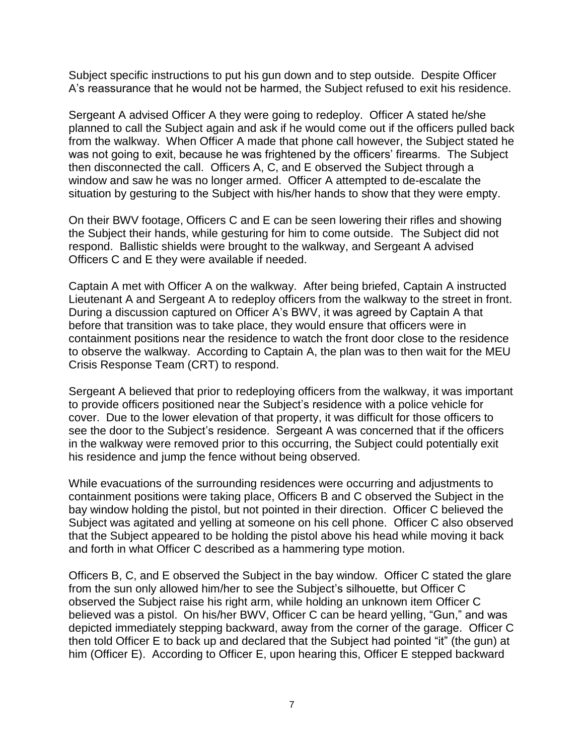Subject specific instructions to put his gun down and to step outside. Despite Officer A's reassurance that he would not be harmed, the Subject refused to exit his residence.

Sergeant A advised Officer A they were going to redeploy. Officer A stated he/she planned to call the Subject again and ask if he would come out if the officers pulled back from the walkway. When Officer A made that phone call however, the Subject stated he was not going to exit, because he was frightened by the officers' firearms. The Subject then disconnected the call. Officers A, C, and E observed the Subject through a window and saw he was no longer armed. Officer A attempted to de-escalate the situation by gesturing to the Subject with his/her hands to show that they were empty.

On their BWV footage, Officers C and E can be seen lowering their rifles and showing the Subject their hands, while gesturing for him to come outside. The Subject did not respond. Ballistic shields were brought to the walkway, and Sergeant A advised Officers C and E they were available if needed.

Captain A met with Officer A on the walkway. After being briefed, Captain A instructed Lieutenant A and Sergeant A to redeploy officers from the walkway to the street in front. During a discussion captured on Officer A's BWV, it was agreed by Captain A that before that transition was to take place, they would ensure that officers were in containment positions near the residence to watch the front door close to the residence to observe the walkway. According to Captain A, the plan was to then wait for the MEU Crisis Response Team (CRT) to respond.

Sergeant A believed that prior to redeploying officers from the walkway, it was important to provide officers positioned near the Subject's residence with a police vehicle for cover. Due to the lower elevation of that property, it was difficult for those officers to see the door to the Subject's residence. Sergeant A was concerned that if the officers in the walkway were removed prior to this occurring, the Subject could potentially exit his residence and jump the fence without being observed.

While evacuations of the surrounding residences were occurring and adjustments to containment positions were taking place, Officers B and C observed the Subject in the bay window holding the pistol, but not pointed in their direction. Officer C believed the Subject was agitated and yelling at someone on his cell phone. Officer C also observed that the Subject appeared to be holding the pistol above his head while moving it back and forth in what Officer C described as a hammering type motion.

Officers B, C, and E observed the Subject in the bay window. Officer C stated the glare from the sun only allowed him/her to see the Subject's silhouette, but Officer C observed the Subject raise his right arm, while holding an unknown item Officer C believed was a pistol. On his/her BWV, Officer C can be heard yelling, "Gun," and was depicted immediately stepping backward, away from the corner of the garage. Officer C then told Officer E to back up and declared that the Subject had pointed "it" (the gun) at him (Officer E). According to Officer E, upon hearing this, Officer E stepped backward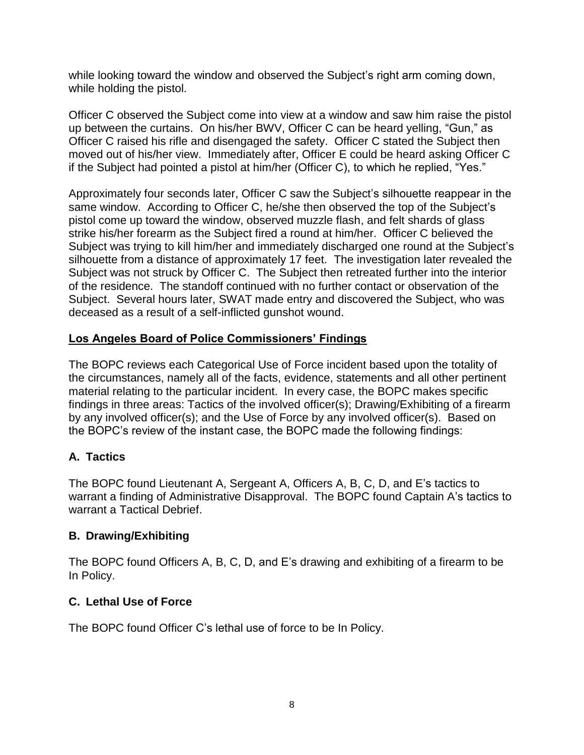while looking toward the window and observed the Subject's right arm coming down, while holding the pistol.

Officer C observed the Subject come into view at a window and saw him raise the pistol up between the curtains. On his/her BWV, Officer C can be heard yelling, "Gun," as Officer C raised his rifle and disengaged the safety. Officer C stated the Subject then moved out of his/her view. Immediately after, Officer E could be heard asking Officer C if the Subject had pointed a pistol at him/her (Officer C), to which he replied, "Yes."

Approximately four seconds later, Officer C saw the Subject's silhouette reappear in the same window. According to Officer C, he/she then observed the top of the Subject's pistol come up toward the window, observed muzzle flash, and felt shards of glass strike his/her forearm as the Subject fired a round at him/her. Officer C believed the Subject was trying to kill him/her and immediately discharged one round at the Subject's silhouette from a distance of approximately 17 feet. The investigation later revealed the Subject was not struck by Officer C. The Subject then retreated further into the interior of the residence. The standoff continued with no further contact or observation of the Subject. Several hours later, SWAT made entry and discovered the Subject, who was deceased as a result of a self-inflicted gunshot wound.

# **Los Angeles Board of Police Commissioners' Findings**

The BOPC reviews each Categorical Use of Force incident based upon the totality of the circumstances, namely all of the facts, evidence, statements and all other pertinent material relating to the particular incident. In every case, the BOPC makes specific findings in three areas: Tactics of the involved officer(s); Drawing/Exhibiting of a firearm by any involved officer(s); and the Use of Force by any involved officer(s). Based on the BOPC's review of the instant case, the BOPC made the following findings:

#### **A. Tactics**

The BOPC found Lieutenant A, Sergeant A, Officers A, B, C, D, and E's tactics to warrant a finding of Administrative Disapproval. The BOPC found Captain A's tactics to warrant a Tactical Debrief.

#### **B. Drawing/Exhibiting**

The BOPC found Officers A, B, C, D, and E's drawing and exhibiting of a firearm to be In Policy.

# **C. Lethal Use of Force**

The BOPC found Officer C's lethal use of force to be In Policy.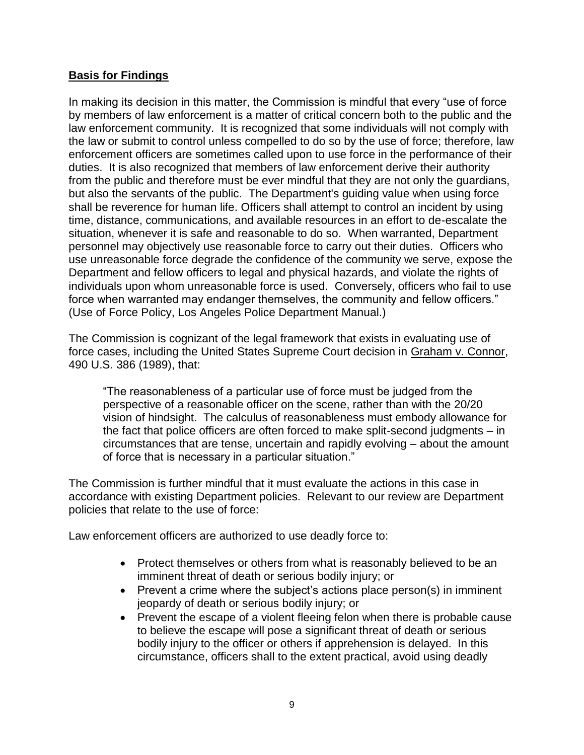# **Basis for Findings**

In making its decision in this matter, the Commission is mindful that every "use of force by members of law enforcement is a matter of critical concern both to the public and the law enforcement community. It is recognized that some individuals will not comply with the law or submit to control unless compelled to do so by the use of force; therefore, law enforcement officers are sometimes called upon to use force in the performance of their duties. It is also recognized that members of law enforcement derive their authority from the public and therefore must be ever mindful that they are not only the guardians, but also the servants of the public. The Department's guiding value when using force shall be reverence for human life. Officers shall attempt to control an incident by using time, distance, communications, and available resources in an effort to de-escalate the situation, whenever it is safe and reasonable to do so. When warranted, Department personnel may objectively use reasonable force to carry out their duties. Officers who use unreasonable force degrade the confidence of the community we serve, expose the Department and fellow officers to legal and physical hazards, and violate the rights of individuals upon whom unreasonable force is used. Conversely, officers who fail to use force when warranted may endanger themselves, the community and fellow officers." (Use of Force Policy, Los Angeles Police Department Manual.)

The Commission is cognizant of the legal framework that exists in evaluating use of force cases, including the United States Supreme Court decision in Graham v. Connor, 490 U.S. 386 (1989), that:

"The reasonableness of a particular use of force must be judged from the perspective of a reasonable officer on the scene, rather than with the 20/20 vision of hindsight. The calculus of reasonableness must embody allowance for the fact that police officers are often forced to make split-second judgments – in circumstances that are tense, uncertain and rapidly evolving – about the amount of force that is necessary in a particular situation."

The Commission is further mindful that it must evaluate the actions in this case in accordance with existing Department policies. Relevant to our review are Department policies that relate to the use of force:

Law enforcement officers are authorized to use deadly force to:

- Protect themselves or others from what is reasonably believed to be an imminent threat of death or serious bodily injury; or
- Prevent a crime where the subject's actions place person(s) in imminent jeopardy of death or serious bodily injury; or
- Prevent the escape of a violent fleeing felon when there is probable cause to believe the escape will pose a significant threat of death or serious bodily injury to the officer or others if apprehension is delayed. In this circumstance, officers shall to the extent practical, avoid using deadly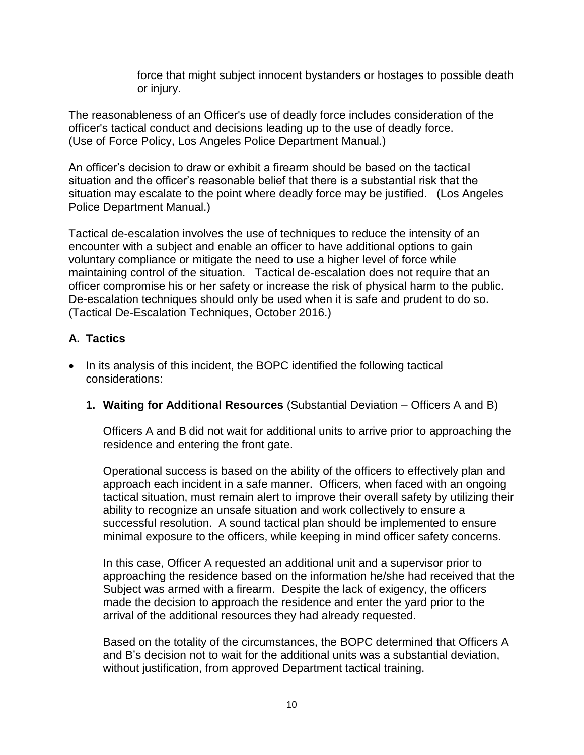force that might subject innocent bystanders or hostages to possible death or injury.

The reasonableness of an Officer's use of deadly force includes consideration of the officer's tactical conduct and decisions leading up to the use of deadly force. (Use of Force Policy, Los Angeles Police Department Manual.)

An officer's decision to draw or exhibit a firearm should be based on the tactical situation and the officer's reasonable belief that there is a substantial risk that the situation may escalate to the point where deadly force may be justified. (Los Angeles Police Department Manual.)

Tactical de-escalation involves the use of techniques to reduce the intensity of an encounter with a subject and enable an officer to have additional options to gain voluntary compliance or mitigate the need to use a higher level of force while maintaining control of the situation. Tactical de-escalation does not require that an officer compromise his or her safety or increase the risk of physical harm to the public. De-escalation techniques should only be used when it is safe and prudent to do so. (Tactical De-Escalation Techniques, October 2016.)

# **A. Tactics**

- In its analysis of this incident, the BOPC identified the following tactical considerations:
	- **1. Waiting for Additional Resources** (Substantial Deviation Officers A and B)

Officers A and B did not wait for additional units to arrive prior to approaching the residence and entering the front gate.

Operational success is based on the ability of the officers to effectively plan and approach each incident in a safe manner. Officers, when faced with an ongoing tactical situation, must remain alert to improve their overall safety by utilizing their ability to recognize an unsafe situation and work collectively to ensure a successful resolution. A sound tactical plan should be implemented to ensure minimal exposure to the officers, while keeping in mind officer safety concerns.

In this case, Officer A requested an additional unit and a supervisor prior to approaching the residence based on the information he/she had received that the Subject was armed with a firearm. Despite the lack of exigency, the officers made the decision to approach the residence and enter the yard prior to the arrival of the additional resources they had already requested.

Based on the totality of the circumstances, the BOPC determined that Officers A and B's decision not to wait for the additional units was a substantial deviation, without justification, from approved Department tactical training.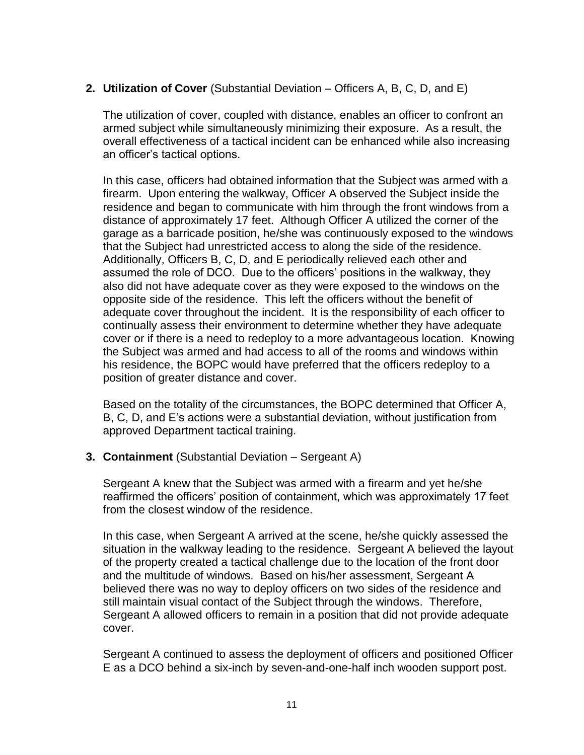# **2. Utilization of Cover** (Substantial Deviation – Officers A, B, C, D, and E)

The utilization of cover, coupled with distance, enables an officer to confront an armed subject while simultaneously minimizing their exposure. As a result, the overall effectiveness of a tactical incident can be enhanced while also increasing an officer's tactical options.

In this case, officers had obtained information that the Subject was armed with a firearm. Upon entering the walkway, Officer A observed the Subject inside the residence and began to communicate with him through the front windows from a distance of approximately 17 feet. Although Officer A utilized the corner of the garage as a barricade position, he/she was continuously exposed to the windows that the Subject had unrestricted access to along the side of the residence. Additionally, Officers B, C, D, and E periodically relieved each other and assumed the role of DCO. Due to the officers' positions in the walkway, they also did not have adequate cover as they were exposed to the windows on the opposite side of the residence. This left the officers without the benefit of adequate cover throughout the incident. It is the responsibility of each officer to continually assess their environment to determine whether they have adequate cover or if there is a need to redeploy to a more advantageous location. Knowing the Subject was armed and had access to all of the rooms and windows within his residence, the BOPC would have preferred that the officers redeploy to a position of greater distance and cover.

Based on the totality of the circumstances, the BOPC determined that Officer A, B, C, D, and E's actions were a substantial deviation, without justification from approved Department tactical training.

#### **3. Containment** (Substantial Deviation – Sergeant A)

Sergeant A knew that the Subject was armed with a firearm and yet he/she reaffirmed the officers' position of containment, which was approximately 17 feet from the closest window of the residence.

In this case, when Sergeant A arrived at the scene, he/she quickly assessed the situation in the walkway leading to the residence. Sergeant A believed the layout of the property created a tactical challenge due to the location of the front door and the multitude of windows. Based on his/her assessment, Sergeant A believed there was no way to deploy officers on two sides of the residence and still maintain visual contact of the Subject through the windows. Therefore, Sergeant A allowed officers to remain in a position that did not provide adequate cover.

Sergeant A continued to assess the deployment of officers and positioned Officer E as a DCO behind a six-inch by seven-and-one-half inch wooden support post.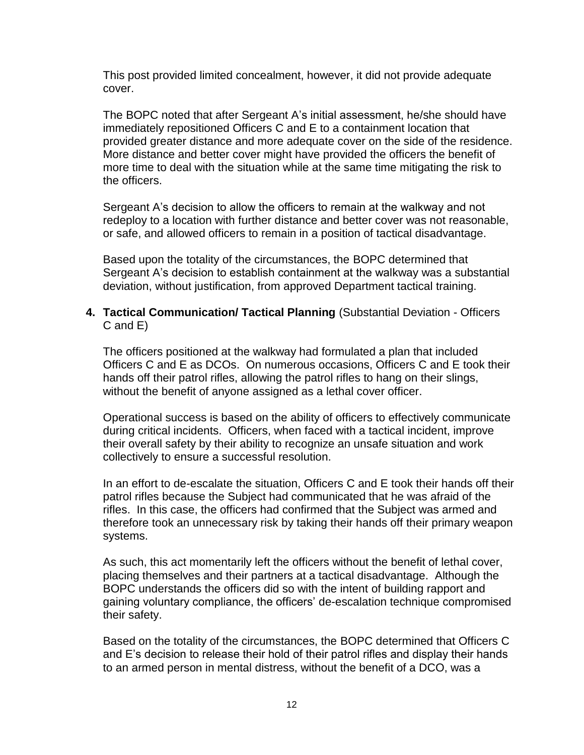This post provided limited concealment, however, it did not provide adequate cover.

The BOPC noted that after Sergeant A's initial assessment, he/she should have immediately repositioned Officers C and E to a containment location that provided greater distance and more adequate cover on the side of the residence. More distance and better cover might have provided the officers the benefit of more time to deal with the situation while at the same time mitigating the risk to the officers.

Sergeant A's decision to allow the officers to remain at the walkway and not redeploy to a location with further distance and better cover was not reasonable, or safe, and allowed officers to remain in a position of tactical disadvantage.

Based upon the totality of the circumstances, the BOPC determined that Sergeant A's decision to establish containment at the walkway was a substantial deviation, without justification, from approved Department tactical training.

#### **4. Tactical Communication/ Tactical Planning** (Substantial Deviation - Officers C and E)

The officers positioned at the walkway had formulated a plan that included Officers C and E as DCOs. On numerous occasions, Officers C and E took their hands off their patrol rifles, allowing the patrol rifles to hang on their slings, without the benefit of anyone assigned as a lethal cover officer.

Operational success is based on the ability of officers to effectively communicate during critical incidents. Officers, when faced with a tactical incident, improve their overall safety by their ability to recognize an unsafe situation and work collectively to ensure a successful resolution.

In an effort to de-escalate the situation, Officers C and E took their hands off their patrol rifles because the Subject had communicated that he was afraid of the rifles. In this case, the officers had confirmed that the Subject was armed and therefore took an unnecessary risk by taking their hands off their primary weapon systems.

As such, this act momentarily left the officers without the benefit of lethal cover, placing themselves and their partners at a tactical disadvantage. Although the BOPC understands the officers did so with the intent of building rapport and gaining voluntary compliance, the officers' de-escalation technique compromised their safety.

Based on the totality of the circumstances, the BOPC determined that Officers C and E's decision to release their hold of their patrol rifles and display their hands to an armed person in mental distress, without the benefit of a DCO, was a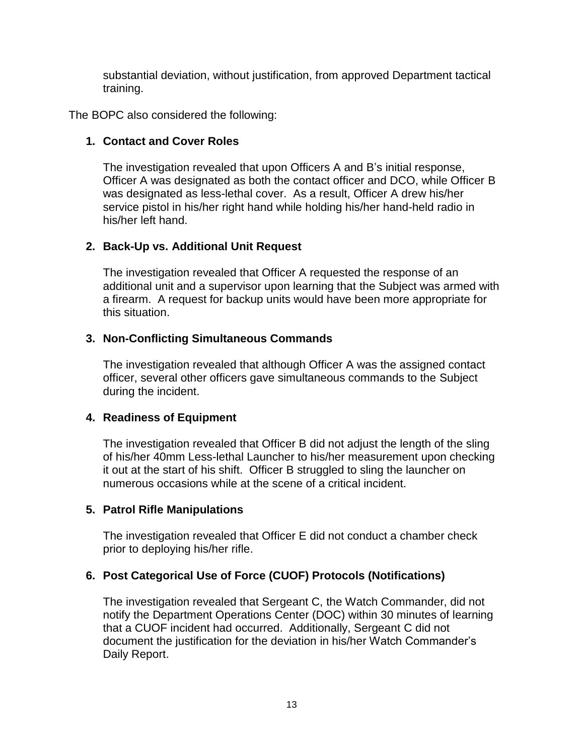substantial deviation, without justification, from approved Department tactical training.

The BOPC also considered the following:

# **1. Contact and Cover Roles**

The investigation revealed that upon Officers A and B's initial response, Officer A was designated as both the contact officer and DCO, while Officer B was designated as less-lethal cover. As a result, Officer A drew his/her service pistol in his/her right hand while holding his/her hand-held radio in his/her left hand.

# **2. Back-Up vs. Additional Unit Request**

The investigation revealed that Officer A requested the response of an additional unit and a supervisor upon learning that the Subject was armed with a firearm. A request for backup units would have been more appropriate for this situation.

# **3. Non-Conflicting Simultaneous Commands**

The investigation revealed that although Officer A was the assigned contact officer, several other officers gave simultaneous commands to the Subject during the incident.

#### **4. Readiness of Equipment**

The investigation revealed that Officer B did not adjust the length of the sling of his/her 40mm Less-lethal Launcher to his/her measurement upon checking it out at the start of his shift. Officer B struggled to sling the launcher on numerous occasions while at the scene of a critical incident.

#### **5. Patrol Rifle Manipulations**

The investigation revealed that Officer E did not conduct a chamber check prior to deploying his/her rifle.

# **6. Post Categorical Use of Force (CUOF) Protocols (Notifications)**

The investigation revealed that Sergeant C, the Watch Commander, did not notify the Department Operations Center (DOC) within 30 minutes of learning that a CUOF incident had occurred. Additionally, Sergeant C did not document the justification for the deviation in his/her Watch Commander's Daily Report.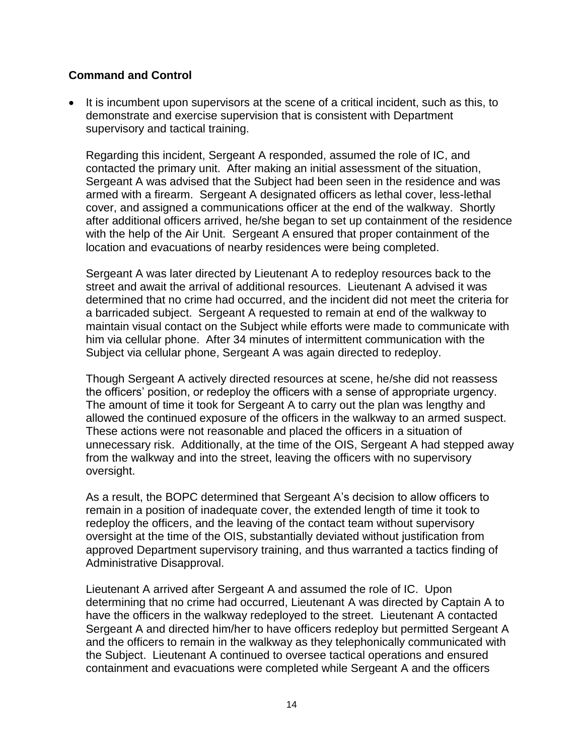# **Command and Control**

• It is incumbent upon supervisors at the scene of a critical incident, such as this, to demonstrate and exercise supervision that is consistent with Department supervisory and tactical training.

Regarding this incident, Sergeant A responded, assumed the role of IC, and contacted the primary unit. After making an initial assessment of the situation, Sergeant A was advised that the Subject had been seen in the residence and was armed with a firearm. Sergeant A designated officers as lethal cover, less-lethal cover, and assigned a communications officer at the end of the walkway. Shortly after additional officers arrived, he/she began to set up containment of the residence with the help of the Air Unit. Sergeant A ensured that proper containment of the location and evacuations of nearby residences were being completed.

Sergeant A was later directed by Lieutenant A to redeploy resources back to the street and await the arrival of additional resources. Lieutenant A advised it was determined that no crime had occurred, and the incident did not meet the criteria for a barricaded subject. Sergeant A requested to remain at end of the walkway to maintain visual contact on the Subject while efforts were made to communicate with him via cellular phone. After 34 minutes of intermittent communication with the Subject via cellular phone, Sergeant A was again directed to redeploy.

Though Sergeant A actively directed resources at scene, he/she did not reassess the officers' position, or redeploy the officers with a sense of appropriate urgency. The amount of time it took for Sergeant A to carry out the plan was lengthy and allowed the continued exposure of the officers in the walkway to an armed suspect. These actions were not reasonable and placed the officers in a situation of unnecessary risk. Additionally, at the time of the OIS, Sergeant A had stepped away from the walkway and into the street, leaving the officers with no supervisory oversight.

As a result, the BOPC determined that Sergeant A's decision to allow officers to remain in a position of inadequate cover, the extended length of time it took to redeploy the officers, and the leaving of the contact team without supervisory oversight at the time of the OIS, substantially deviated without justification from approved Department supervisory training, and thus warranted a tactics finding of Administrative Disapproval.

Lieutenant A arrived after Sergeant A and assumed the role of IC. Upon determining that no crime had occurred, Lieutenant A was directed by Captain A to have the officers in the walkway redeployed to the street. Lieutenant A contacted Sergeant A and directed him/her to have officers redeploy but permitted Sergeant A and the officers to remain in the walkway as they telephonically communicated with the Subject. Lieutenant A continued to oversee tactical operations and ensured containment and evacuations were completed while Sergeant A and the officers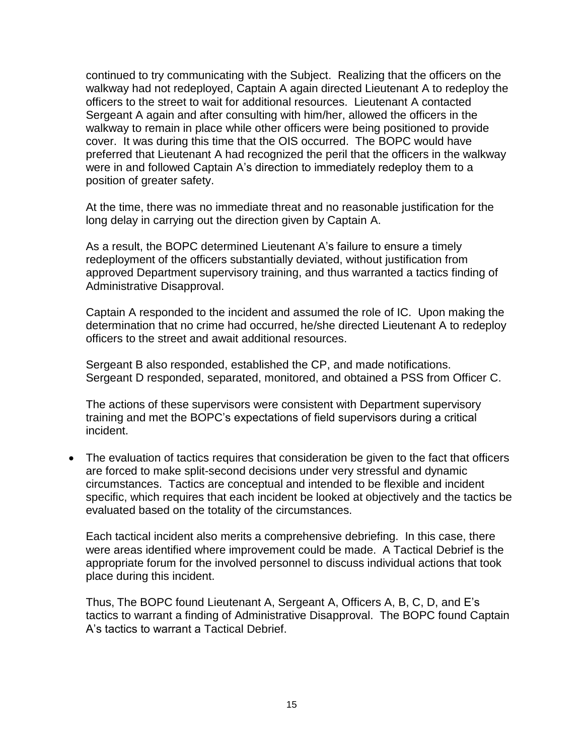continued to try communicating with the Subject. Realizing that the officers on the walkway had not redeployed, Captain A again directed Lieutenant A to redeploy the officers to the street to wait for additional resources. Lieutenant A contacted Sergeant A again and after consulting with him/her, allowed the officers in the walkway to remain in place while other officers were being positioned to provide cover. It was during this time that the OIS occurred. The BOPC would have preferred that Lieutenant A had recognized the peril that the officers in the walkway were in and followed Captain A's direction to immediately redeploy them to a position of greater safety.

At the time, there was no immediate threat and no reasonable justification for the long delay in carrying out the direction given by Captain A.

As a result, the BOPC determined Lieutenant A's failure to ensure a timely redeployment of the officers substantially deviated, without justification from approved Department supervisory training, and thus warranted a tactics finding of Administrative Disapproval.

Captain A responded to the incident and assumed the role of IC. Upon making the determination that no crime had occurred, he/she directed Lieutenant A to redeploy officers to the street and await additional resources.

Sergeant B also responded, established the CP, and made notifications. Sergeant D responded, separated, monitored, and obtained a PSS from Officer C.

The actions of these supervisors were consistent with Department supervisory training and met the BOPC's expectations of field supervisors during a critical incident.

• The evaluation of tactics requires that consideration be given to the fact that officers are forced to make split-second decisions under very stressful and dynamic circumstances. Tactics are conceptual and intended to be flexible and incident specific, which requires that each incident be looked at objectively and the tactics be evaluated based on the totality of the circumstances.

Each tactical incident also merits a comprehensive debriefing. In this case, there were areas identified where improvement could be made. A Tactical Debrief is the appropriate forum for the involved personnel to discuss individual actions that took place during this incident.

Thus, The BOPC found Lieutenant A, Sergeant A, Officers A, B, C, D, and E's tactics to warrant a finding of Administrative Disapproval. The BOPC found Captain A's tactics to warrant a Tactical Debrief.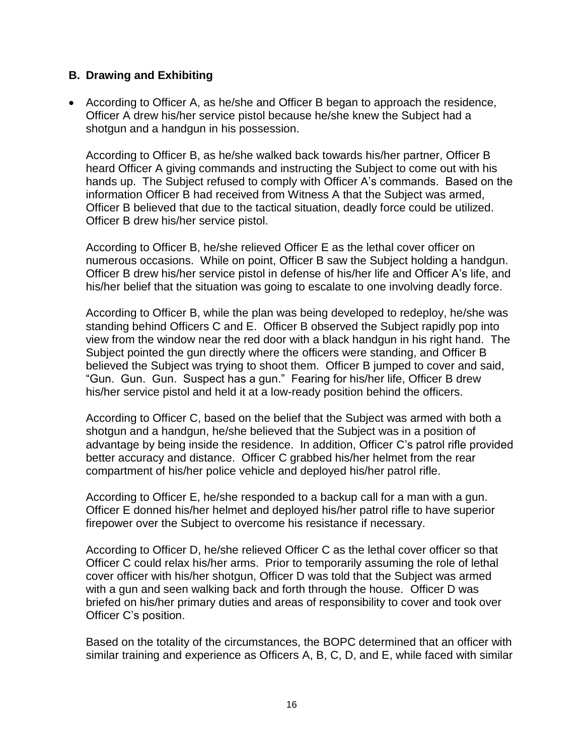#### **B. Drawing and Exhibiting**

• According to Officer A, as he/she and Officer B began to approach the residence, Officer A drew his/her service pistol because he/she knew the Subject had a shotgun and a handgun in his possession.

According to Officer B, as he/she walked back towards his/her partner, Officer B heard Officer A giving commands and instructing the Subject to come out with his hands up. The Subject refused to comply with Officer A's commands. Based on the information Officer B had received from Witness A that the Subject was armed, Officer B believed that due to the tactical situation, deadly force could be utilized. Officer B drew his/her service pistol.

According to Officer B, he/she relieved Officer E as the lethal cover officer on numerous occasions. While on point, Officer B saw the Subject holding a handgun. Officer B drew his/her service pistol in defense of his/her life and Officer A's life, and his/her belief that the situation was going to escalate to one involving deadly force.

According to Officer B, while the plan was being developed to redeploy, he/she was standing behind Officers C and E. Officer B observed the Subject rapidly pop into view from the window near the red door with a black handgun in his right hand. The Subject pointed the gun directly where the officers were standing, and Officer B believed the Subject was trying to shoot them. Officer B jumped to cover and said, "Gun. Gun. Gun. Suspect has a gun." Fearing for his/her life, Officer B drew his/her service pistol and held it at a low-ready position behind the officers.

According to Officer C, based on the belief that the Subject was armed with both a shotgun and a handgun, he/she believed that the Subject was in a position of advantage by being inside the residence. In addition, Officer C's patrol rifle provided better accuracy and distance. Officer C grabbed his/her helmet from the rear compartment of his/her police vehicle and deployed his/her patrol rifle.

According to Officer E, he/she responded to a backup call for a man with a gun. Officer E donned his/her helmet and deployed his/her patrol rifle to have superior firepower over the Subject to overcome his resistance if necessary.

According to Officer D, he/she relieved Officer C as the lethal cover officer so that Officer C could relax his/her arms. Prior to temporarily assuming the role of lethal cover officer with his/her shotgun, Officer D was told that the Subject was armed with a gun and seen walking back and forth through the house. Officer D was briefed on his/her primary duties and areas of responsibility to cover and took over Officer C's position.

Based on the totality of the circumstances, the BOPC determined that an officer with similar training and experience as Officers A, B, C, D, and E, while faced with similar